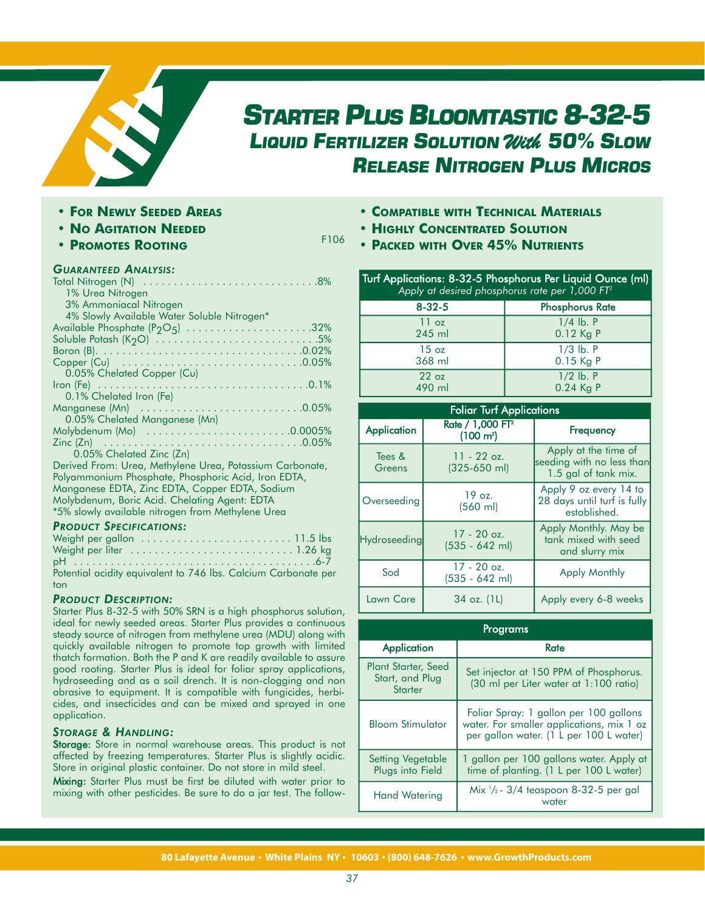

# *STARTER PLUS BLOOMTASTIC 8-32-5 LIQUID FERTILIZER SOLUTION* With *50% SLOW RELEASE NITROGEN PLUS MICROS*

- **• FOR NEWLY SEEDED AREAS**
- **• NO AGITATION NEEDED**
- **• PROMOTES ROOTING**

# **• COMPATIBLE WITH TECHNICAL MATERIALS**

**• HIGHLY CONCENTRATED SOLUTION**

F106

**• PACKED WITH OVER 45% NUTRIENTS**

## *GUARANTEED ANALYSIS:*

| 1% Urea Nitrogen                                         |
|----------------------------------------------------------|
| 3% Ammoniacal Nitrogen                                   |
| 4% Slowly Available Water Soluble Nitrogen*              |
| Available Phosphate $(P_2O_5)$ 32%                       |
| Soluble Potash (K <sub>2</sub> O) 5%                     |
|                                                          |
|                                                          |
| 0.05% Chelated Copper (Cu)                               |
|                                                          |
| 0.1% Chelated Iron (Fe)                                  |
|                                                          |
| 0.05% Chelated Manganese (Mn)                            |
|                                                          |
|                                                          |
| 0.05% Chelated Zinc (Zn)                                 |
| Derived From: Urea, Methylene Urea, Potassium Carbonate, |
| Polyammonium Phosphate, Phosphoric Acid, Iron EDTA,      |
| Manganese EDTA, Zinc EDTA, Copper EDTA, Sodium           |
| Molybdenum, Boric Acid. Chelating Agent: EDTA            |
| *5% slowly available nitrogen from Methylene Urea        |
|                                                          |

## *PRODUCT SPECIFICATIONS:*

| Potential acidity equivalent to 746 lbs. Calcium Carbonate per |  |
|----------------------------------------------------------------|--|
| ton                                                            |  |

## *PRODUCT DESCRIPTION:*

Starter Plus 8-32-5 with 50% SRN is a high phosphorus solution, ideal for newly seeded areas. Starter Plus provides a continuous steady source of nitrogen from methylene urea (MDU) along with quickly available nitrogen to promote top growth with limited thatch formation. Both the P and K are readily available to assure good rooting. Starter Plus is ideal for foliar spray applications, hydroseeding and as a soil drench. It is non-clogging and non abrasive to equipment. It is compatible with fungicides, herbicides, and insecticides and can be mixed and sprayed in one application.

## *STORAGE & HANDLING:*

Storage: Store in normal warehouse areas. This product is not affected by freezing temperatures. Starter Plus is slightly acidic. Store in original plastic container. Do not store in mild steel.

Mixing: Starter Plus must be first be diluted with water prior to mixing with other pesticides. Be sure to do a jar test. The follow-

| Turf Applications: 8-32-5 Phosphorus Per Liquid Ounce (ml)<br>Apply at desired phosphorus rate per $1,000$ FT <sup>2</sup> |                        |
|----------------------------------------------------------------------------------------------------------------------------|------------------------|
| $8 - 32 - 5$                                                                                                               | <b>Phosphorus Rate</b> |
| 11 oz                                                                                                                      | $1/4$ lb. P            |
| 245 ml                                                                                                                     | 0.12 Kg P              |
| $15 \text{ oz}$                                                                                                            | $1/3$ lb. $P$          |
| 368 ml                                                                                                                     | 0.15 Kg P              |
| 22 <sub>oz</sub>                                                                                                           | $1/2$ lb. P            |
| 490 ml                                                                                                                     | $0.24$ Kg P            |

| <b>Foliar Turf Applications</b> |                                                     |                                                                           |
|---------------------------------|-----------------------------------------------------|---------------------------------------------------------------------------|
| <b>Application</b>              | Rate / 1,000 FT <sup>2</sup><br>$(100 \text{ m}^2)$ | Frequency                                                                 |
| Tees &<br>Greens                | $11 - 22$ oz.<br>$(325-650)$ ml)                    | Apply at the time of<br>seeding with no less than<br>1.5 gal of tank mix. |
| Overseeding                     | $19$ oz.<br>$(560 \text{ ml})$                      | Apply 9 oz every 14 to<br>28 days until turf is fully<br>established.     |
| <b>Hydroseeding</b>             | $17 - 20$ oz.<br>$(535 - 642$ ml)                   | Apply Monthly. May be<br>tank mixed with seed<br>and slurry mix           |
| Sod                             | $17 - 20$ oz.<br>(535 - 642 ml)                     | <b>Apply Monthly</b>                                                      |
| Lawn Care                       | 34 oz. (1L)                                         | Apply every 6-8 weeks                                                     |

| Proarams                                                 |                                                                                                                                |  |
|----------------------------------------------------------|--------------------------------------------------------------------------------------------------------------------------------|--|
| Application                                              | Rate                                                                                                                           |  |
| Plant Starter, Seed<br>Start, and Plug<br><b>Starter</b> | Set injector at 150 PPM of Phosphorus.<br>(30 ml per Liter water at 1:100 ratio)                                               |  |
| <b>Bloom Stimulator</b>                                  | Foliar Spray: 1 gallon per 100 gallons<br>water. For smaller applications, mix 1 oz<br>per gallon water. (1 L per 100 L water) |  |
| Setting Vegetable<br>Plugs into Field                    | 1 gallon per 100 gallons water. Apply at<br>time of planting. (1 L per 100 L water)                                            |  |
| <b>Hand Watering</b>                                     | Mix $\frac{1}{2}$ - 3/4 teaspoon 8-32-5 per gal<br>water                                                                       |  |

**80 Lafayette Avenue White Plains NY 10603 (800) 648-7626 www.GrowthProducts.com**